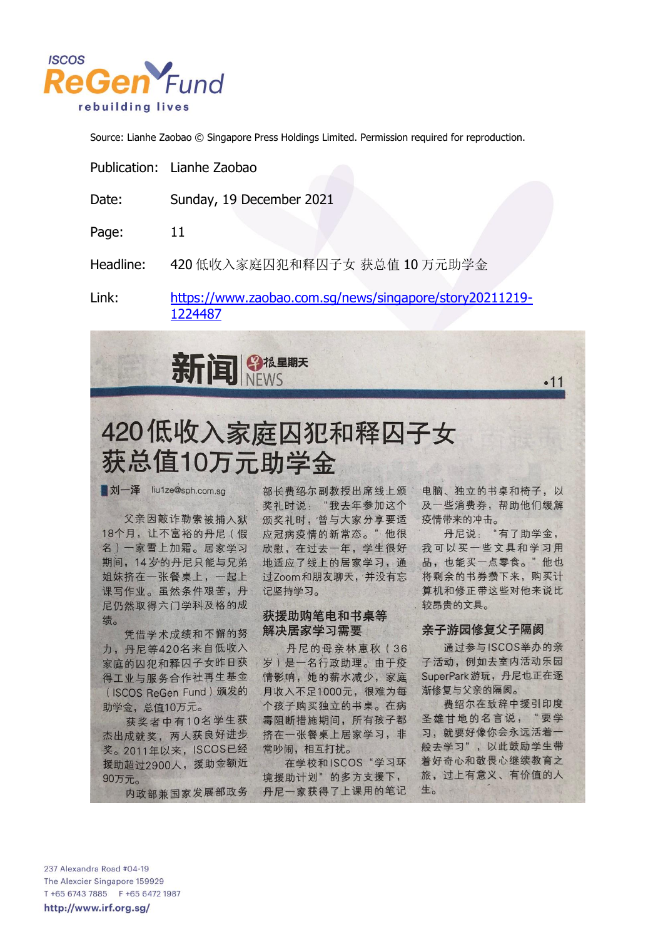

Source: Lianhe Zaobao © Singapore Press Holdings Limited. Permission required for reproduction.

|           | Publication: Lianhe Zaobao                              |
|-----------|---------------------------------------------------------|
| Date:     | Sunday, 19 December 2021                                |
| Page:     | 11                                                      |
| Headline: | 420 低收入家庭囚犯和释囚子女 获总值 10 万元助学金                           |
| l inle    | $http://www.z20020.com50/nowc/cinaznora/cton/20211210_$ |

Link: <u> https://www.zaobao.com.sq/news/singapore/story20211219-</u> 1224487



# 420低收入家庭囚犯和释囚子女 获总值10万元助学金

**刘一泽** liu1ze@sph.com.sq

父亲因敲诈勒索被捕入狱 18个月, 让不富裕的丹尼(假 名)一家雪上加霜。居家学习 期间, 14岁的丹尼只能与兄弟 姐妹挤在一张餐桌上,一起上 课写作业。虽然条件艰苦,丹 尼仍然取得六门学科及格的成 绩。

凭借学术成绩和不懈的努 力,丹尼等420名来自低收入 家庭的囚犯和释囚子女昨日获 得工业与服务合作社再生基金 (ISCOS ReGen Fund) 颁发的 助学金, 总值10万元。

获奖者中有10名学生获 杰出成就奖, 两人获良好进步 奖。2011年以来, ISCOS已经 援助超过2900人, 援助金额近 90万元。

内政部兼国家发展部政务

部长费绍尔副教授出席线上颁 奖礼时说: "我去年参加这个 颁奖礼时, 曾与大家分享要适 应冠病疫情的新常态。"他很 欣慰, 在过去一年, 学生很好 地适应了线上的居家学习,通 过Zoom和朋友聊天,并没有忘 记坚持学习。

#### 获援助购笔电和书桌等 解决居家学习需要

丹尼的母亲林惠秋 (36 岁)是一名行政助理。由于疫 情影响,她的薪水减少,家庭 月收入不足1000元, 很难为每 个孩子购买独立的书桌。在病 毒阻断措施期间, 所有孩子都 挤在一张餐桌上居家学习, 非 常吵闹,相互打扰。

在学校和ISCOS"学习环 境援助计划"的多方支援下, 丹尼一家获得了上课用的笔记

电脑、独立的书桌和椅子,以 及一些消费券,帮助他们缓解 疫情带来的冲击。

 $•11$ 

丹尼说: "有了助学金, 我可以买一些文具和学习用 品,也能买一点零食。"他也 将剩余的书券攒下来, 购买计 算机和修正带这些对他来说比 较昂贵的文具。

#### 亲子游园修复父子隔阂

通过参与ISCOS举办的亲 子活动, 例如去室内活动乐园 SuperPark 游玩, 丹尼也正在逐 渐修复与父亲的隔阂。

费绍尔在致辞中援引印度 圣雄甘地的名言说, "要学 习, 就要好像你会永远活着一 般去学习",以此鼓励学生带 着好奇心和敬畏心继续教育之 旅,过上有意义、有价值的人 生。

237 Alexandra Road #04-19 The Alexcier Singapore 159929 T +65 6743 7885 F +65 6472 1987 http://www.irf.org.sg/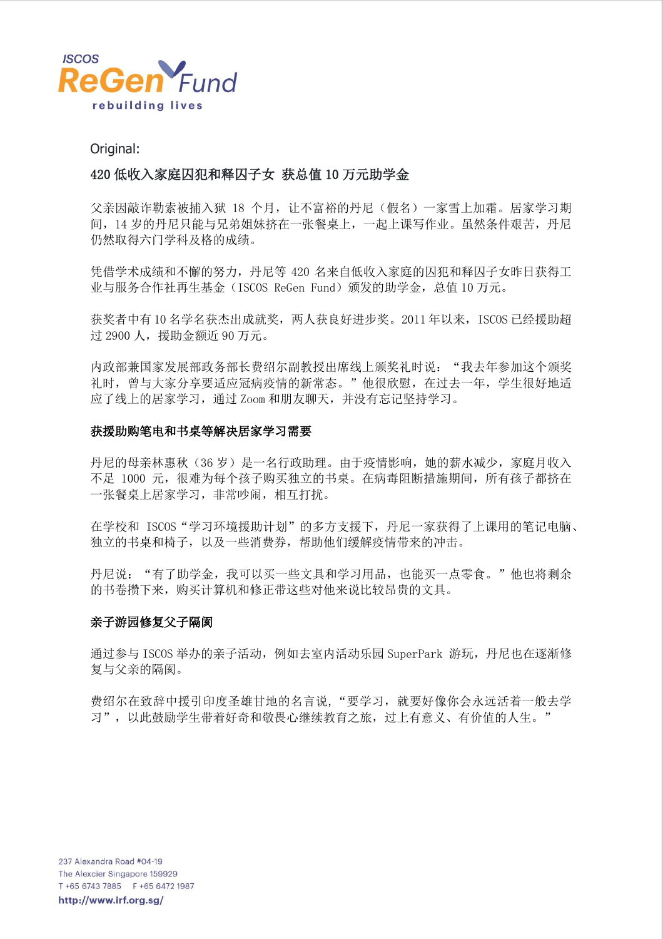

Original:

## 420 低收入家庭囚犯和释囚子女 获总值 10 万元助学金

父亲因敲诈勒索被捕入狱 18 个月,让不富裕的丹尼(假名)一家雪上加霜。居家学习期 间,14 岁的丹尼只能与兄弟姐妹挤在一张餐桌上,一起上课写作业。虽然条件艰苦,丹尼 仍然取得六门学科及格的成绩。

凭借学术成绩和不懈的努力,丹尼等 420 名来自低收入家庭的囚犯和释囚子女昨日获得工 业与服务合作社再生基金(ISCOS ReGen Fund)颁发的助学金,总值 10 万元。

获奖者中有 10 名学名获杰出成就奖,两人获良好进步奖。2011 年以来,ISCOS 已经援助超 过 2900 人,援助金额近 90 万元。

内政部兼国家发展部政务部长费绍尔副教授出席线上颁奖礼时说: "我去年参加这个颁奖 礼时, 曾与大家分享要适应冠病疫情的新常态。"他很欣慰, 在过去一年, 学生很好地适 应了线上的居家学习,通过 Zoom 和朋友聊天,并没有忘记坚持学习。

#### 获援助购笔电和书桌等解决居家学习需要

丹尼的母亲林惠秋(36岁)是一名行政助理。由于疫情影响,她的薪水减少,家庭月收入 不足 1000 元,很难为每个孩子购买独立的书桌。在病毒阻断措施期间,所有孩子都挤在 一张餐桌上居家学习,非常吵闹,相互打扰。

在学校和 ISCOS"学习环境援助计划"的多方支援下,丹尼一家获得了上课用的笔记电脑、 独立的书桌和椅子,以及一些消费券,帮助他们缓解疫情带来的冲击。

丹尼说:"有了助学金,我可以买一些文具和学习用品,也能买一点零食。"他也将剩余 的书卷攒下来,购买计算机和修正带这些对他来说比较昂贵的文具。

#### 亲子游园修复父子隔阂

通过参与 ISCOS 举办的亲子活动, 例如去室内活动乐园 SuperPark 游玩, 丹尼也在逐渐修 复与父亲的隔阂。

费绍尔在致辞中援引印度圣雄甘地的名言说,"要学习,就要好像你会永远活着一般去学 习",以此鼓励学生带着好奇和敬畏心继续教育之旅,过上有意义、有价值的人生。"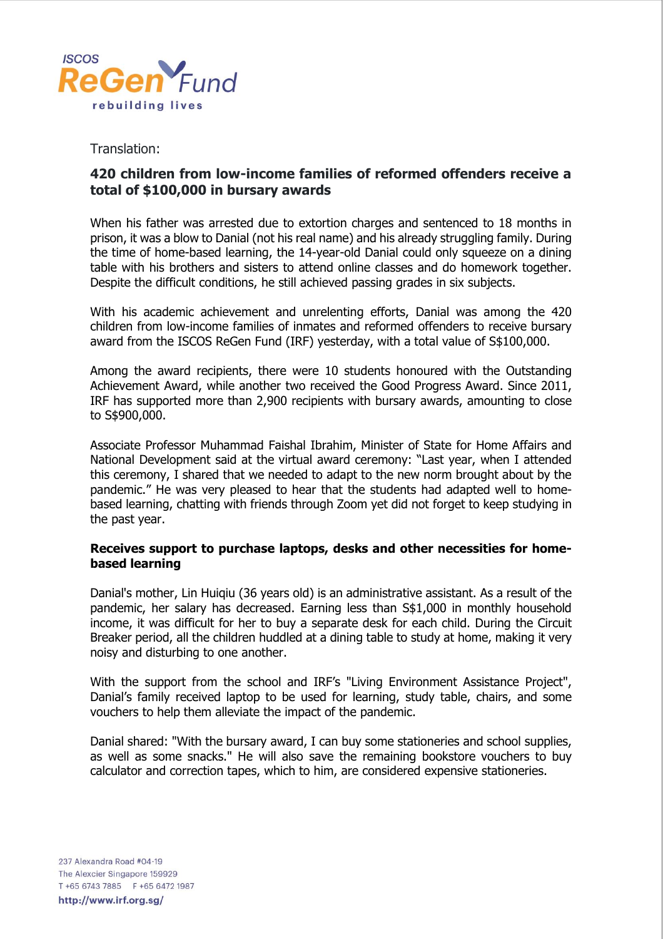

### Translation:

## **420 children from low-income families of reformed offenders receive a total of \$100,000 in bursary awards**

When his father was arrested due to extortion charges and sentenced to 18 months in prison, it was a blow to Danial (not his real name) and his already struggling family. During the time of home-based learning, the 14-year-old Danial could only squeeze on a dining table with his brothers and sisters to attend online classes and do homework together. Despite the difficult conditions, he still achieved passing grades in six subjects.

With his academic achievement and unrelenting efforts, Danial was among the 420 children from low-income families of inmates and reformed offenders to receive bursary award from the ISCOS ReGen Fund (IRF) yesterday, with a total value of S\$100,000.

Among the award recipients, there were 10 students honoured with the Outstanding Achievement Award, while another two received the Good Progress Award. Since 2011, IRF has supported more than 2,900 recipients with bursary awards, amounting to close to S\$900,000.

Associate Professor Muhammad Faishal Ibrahim, Minister of State for Home Affairs and National Development said at the virtual award ceremony: "Last year, when I attended this ceremony, I shared that we needed to adapt to the new norm brought about by the pandemic." He was very pleased to hear that the students had adapted well to homebased learning, chatting with friends through Zoom yet did not forget to keep studying in the past year.

#### **Receives support to purchase laptops, desks and other necessities for homebased learning**

Danial's mother, Lin Huiqiu (36 years old) is an administrative assistant. As a result of the pandemic, her salary has decreased. Earning less than S\$1,000 in monthly household income, it was difficult for her to buy a separate desk for each child. During the Circuit Breaker period, all the children huddled at a dining table to study at home, making it very noisy and disturbing to one another.

With the support from the school and IRF's "Living Environment Assistance Project", Danial's family received laptop to be used for learning, study table, chairs, and some vouchers to help them alleviate the impact of the pandemic.

Danial shared: "With the bursary award, I can buy some stationeries and school supplies, as well as some snacks." He will also save the remaining bookstore vouchers to buy calculator and correction tapes, which to him, are considered expensive stationeries.